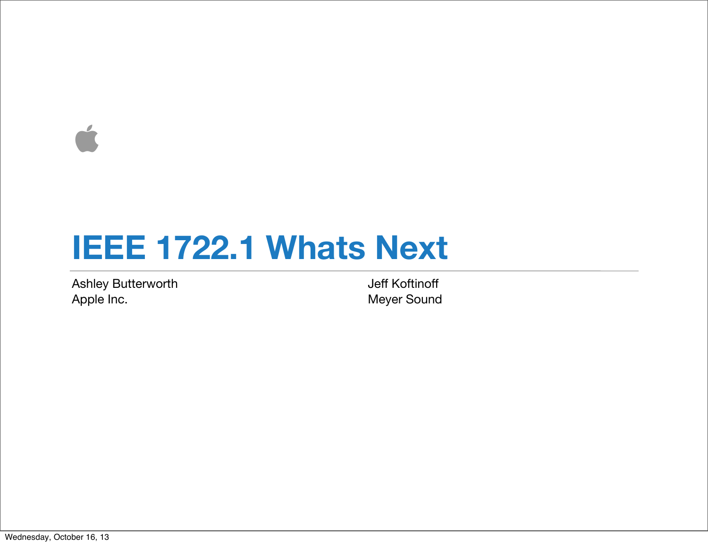$\overrightarrow{a}$ 

## **IEEE 1722.1 Whats Next**

Ashley Butterworth Apple Inc.

Jeff Koftinoff Meyer Sound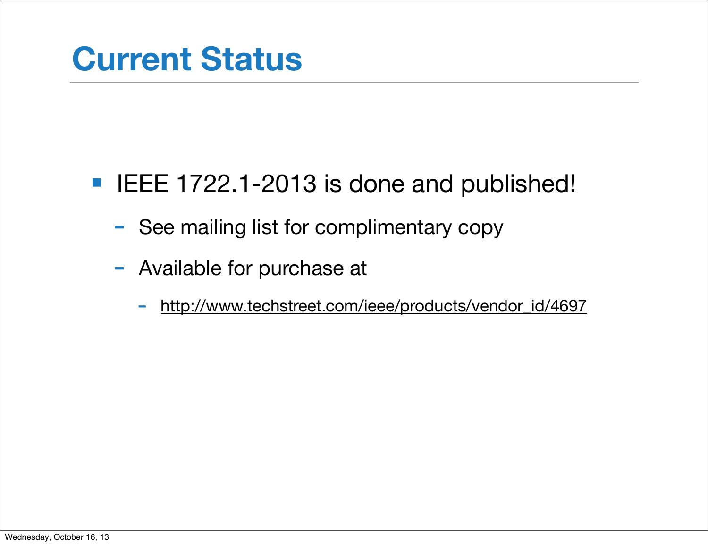#### ■ IEEE 1722.1-2013 is done and published!

- See mailing list for complimentary copy
- Available for purchase at
	- [http://www.techstreet.com/ieee/products/vendor\\_id/4697](http://www.techstreet.com/ieee/products/vendor_id/4697)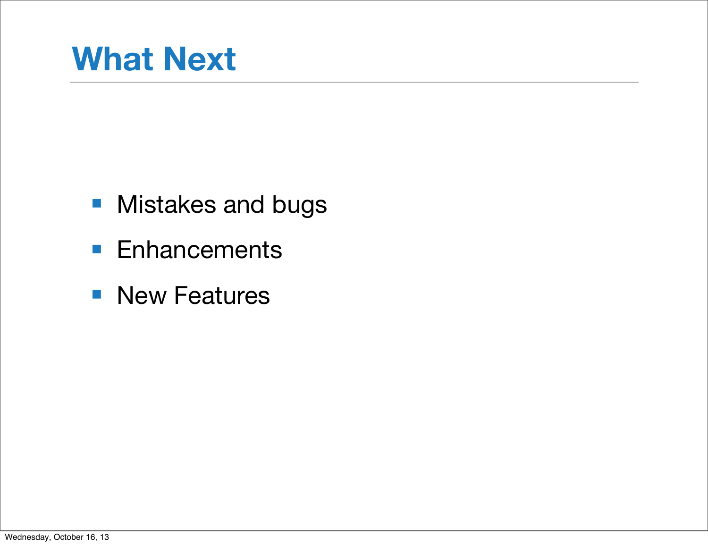# **What Next**

- Mistakes and bugs
- Enhancements
- New Features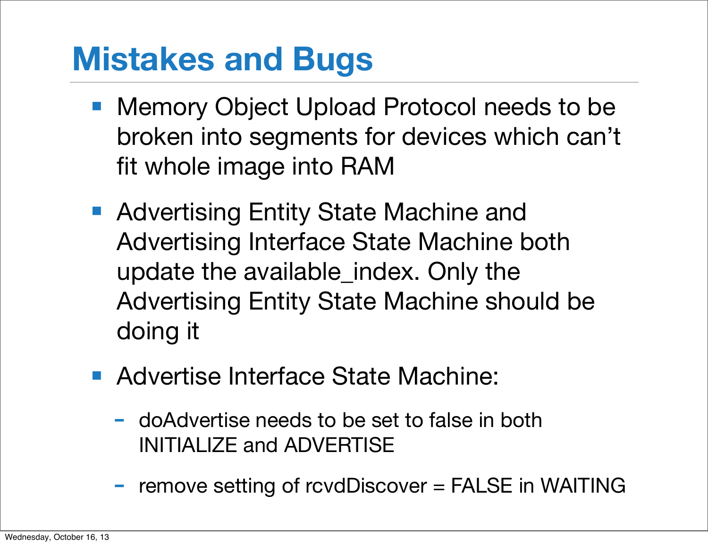# **Mistakes and Bugs**

- Memory Object Upload Protocol needs to be broken into segments for devices which can't fit whole image into RAM
- Advertising Entity State Machine and Advertising Interface State Machine both update the available\_index. Only the Advertising Entity State Machine should be doing it
- Advertise Interface State Machine:
	- doAdvertise needs to be set to false in both INITIALIZE and ADVERTISE
	- remove setting of rcvdDiscover = FALSE in WAITING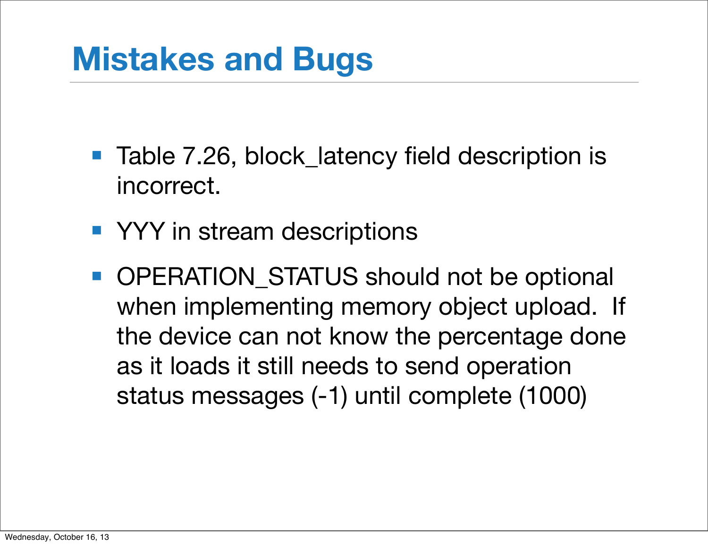# **Mistakes and Bugs**

- Table 7.26, block\_latency field description is incorrect.
- YYY in stream descriptions
- OPERATION\_STATUS should not be optional when implementing memory object upload. If the device can not know the percentage done as it loads it still needs to send operation status messages (-1) until complete (1000)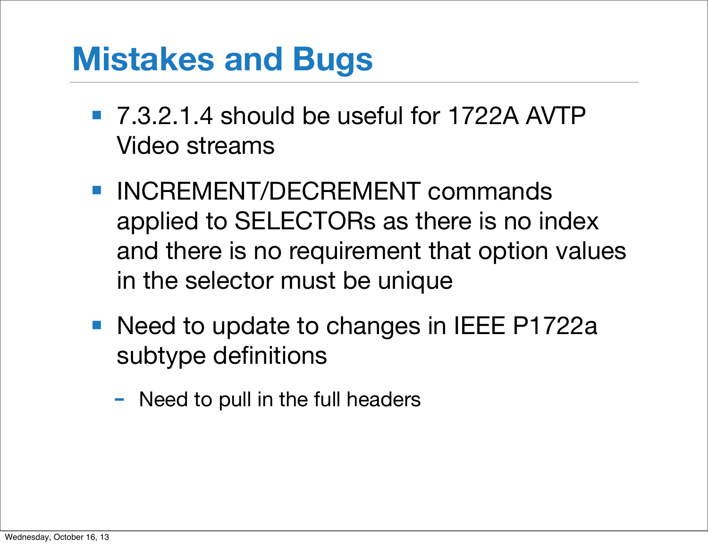# **Mistakes and Bugs**

- 7.3.2.1.4 should be useful for 1722A AVTP Video streams
- INCREMENT/DECREMENT commands applied to SELECTORs as there is no index and there is no requirement that option values in the selector must be unique
- Need to update to changes in IEEE P1722a subtype definitions
	- Need to pull in the full headers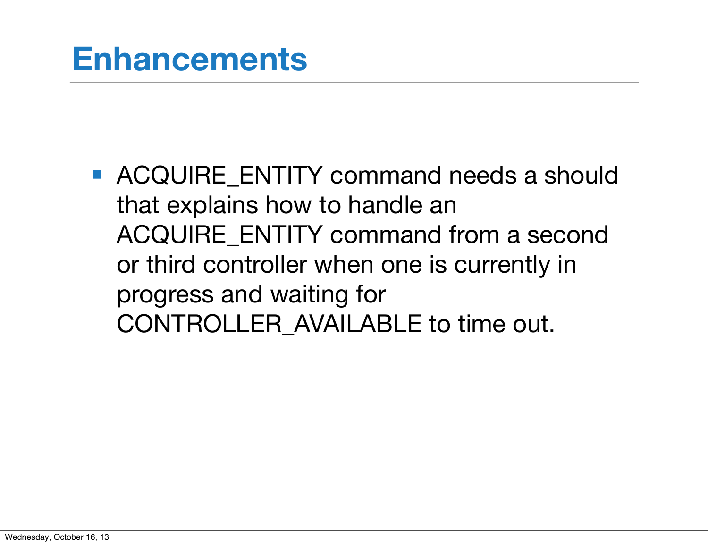■ ACQUIRE\_ENTITY command needs a should that explains how to handle an ACQUIRE\_ENTITY command from a second or third controller when one is currently in progress and waiting for CONTROLLER\_AVAILABLE to time out.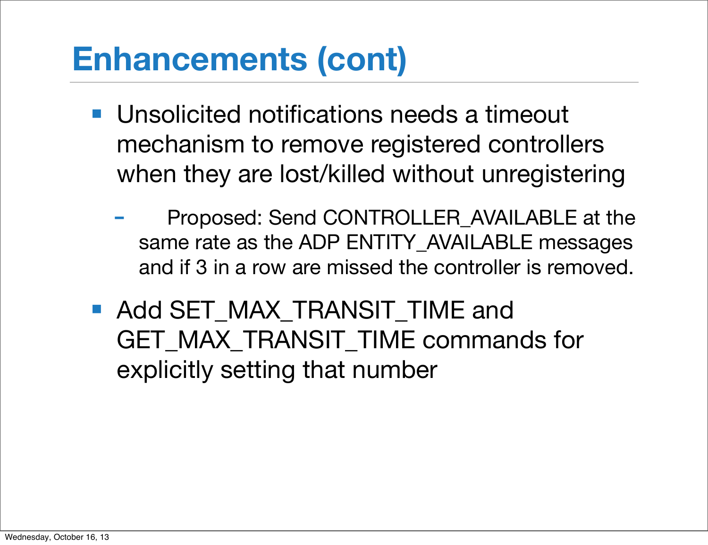- Unsolicited notifications needs a timeout mechanism to remove registered controllers when they are lost/killed without unregistering
	- Proposed: Send CONTROLLER\_AVAILABLE at the same rate as the ADP ENTITY\_AVAILABLE messages and if 3 in a row are missed the controller is removed.
- Add SET\_MAX\_TRANSIT\_TIME and GET MAX TRANSIT TIME commands for explicitly setting that number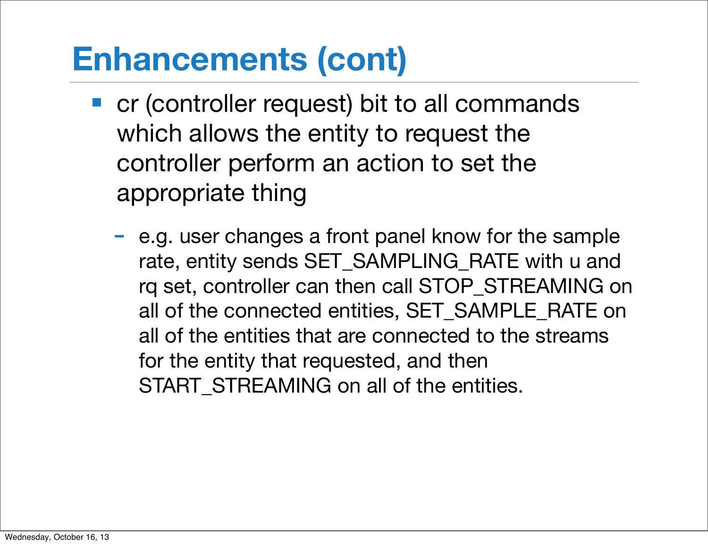- cr (controller request) bit to all commands which allows the entity to request the controller perform an action to set the appropriate thing
	- e.g. user changes a front panel know for the sample rate, entity sends SET\_SAMPLING\_RATE with u and rq set, controller can then call STOP\_STREAMING on all of the connected entities, SET\_SAMPLE\_RATE on all of the entities that are connected to the streams for the entity that requested, and then START STREAMING on all of the entities.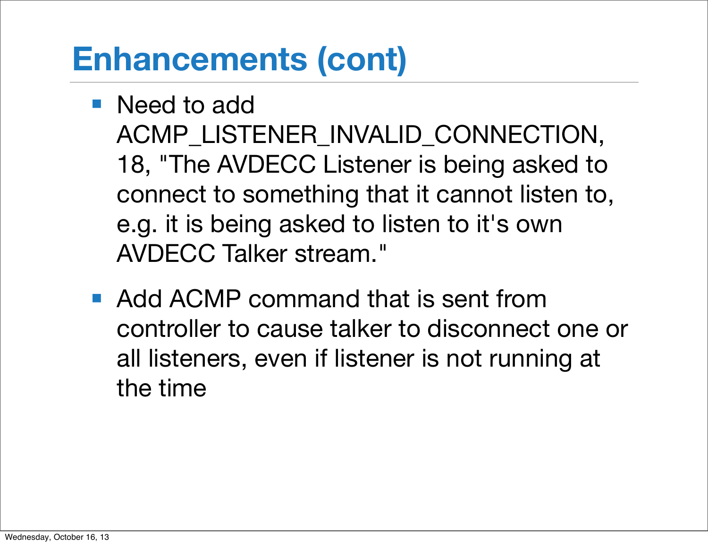- Need to add ACMP\_LISTENER\_INVALID\_CONNECTION, 18, "The AVDECC Listener is being asked to connect to something that it cannot listen to, e.g. it is being asked to listen to it's own AVDECC Talker stream."
- Add ACMP command that is sent from controller to cause talker to disconnect one or all listeners, even if listener is not running at the time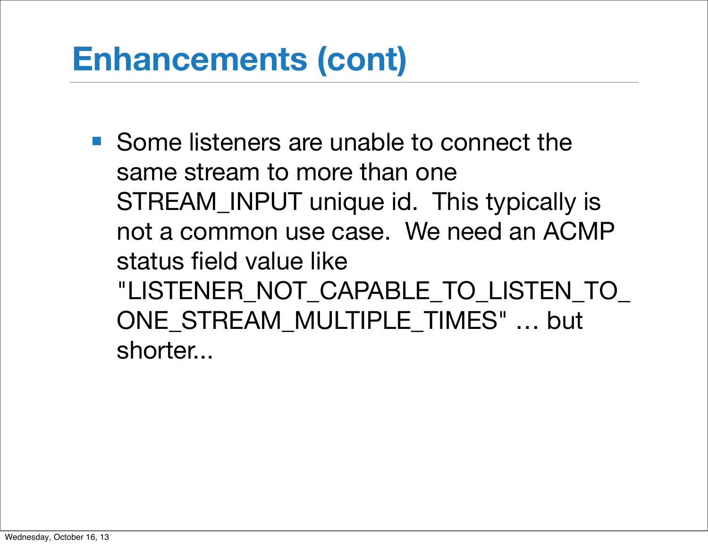■ Some listeners are unable to connect the same stream to more than one STREAM\_INPUT unique id. This typically is not a common use case. We need an ACMP status field value like "LISTENER\_NOT\_CAPABLE\_TO\_LISTEN\_TO ONE STREAM MULTIPLE TIMES" ... but shorter...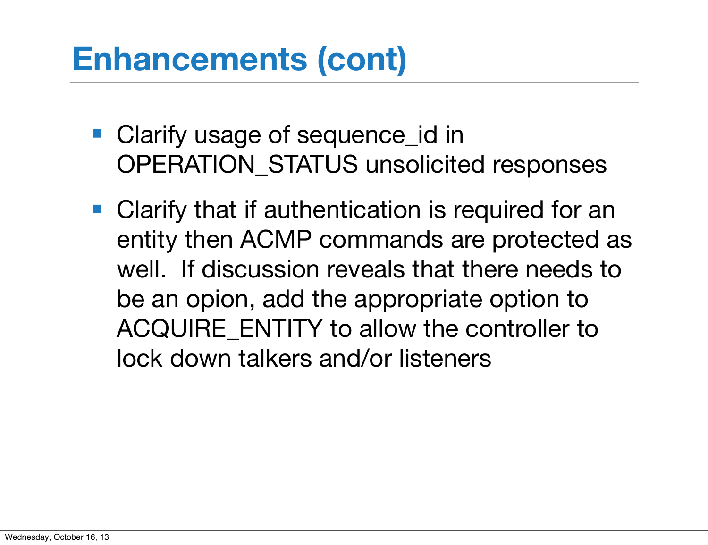- Clarify usage of sequence\_id in OPERATION\_STATUS unsolicited responses
- Clarify that if authentication is required for an entity then ACMP commands are protected as well. If discussion reveals that there needs to be an opion, add the appropriate option to ACQUIRE\_ENTITY to allow the controller to lock down talkers and/or listeners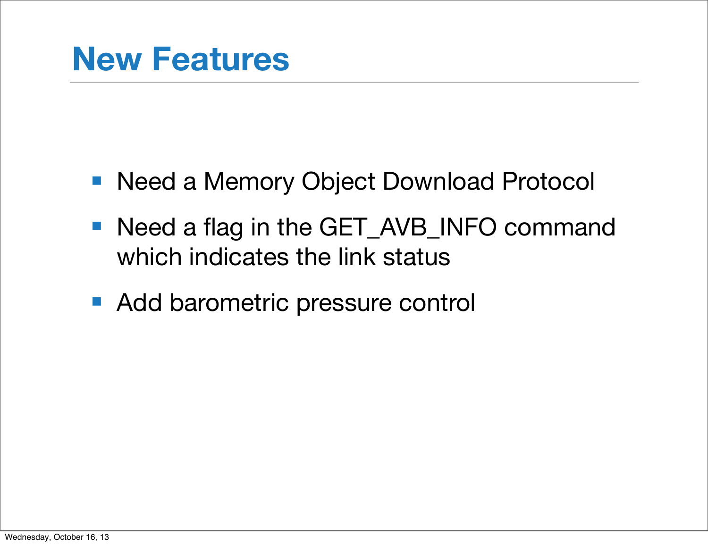- Need a Memory Object Download Protocol
- Need a flag in the GET\_AVB\_INFO command which indicates the link status
- Add barometric pressure control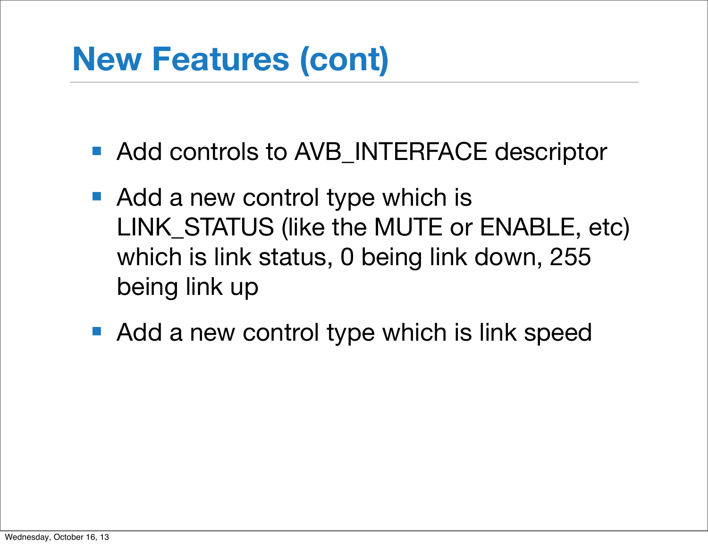# **New Features (cont)**

- Add controls to AVB INTERFACE descriptor
- Add a new control type which is LINK\_STATUS (like the MUTE or ENABLE, etc) which is link status, 0 being link down, 255 being link up
- Add a new control type which is link speed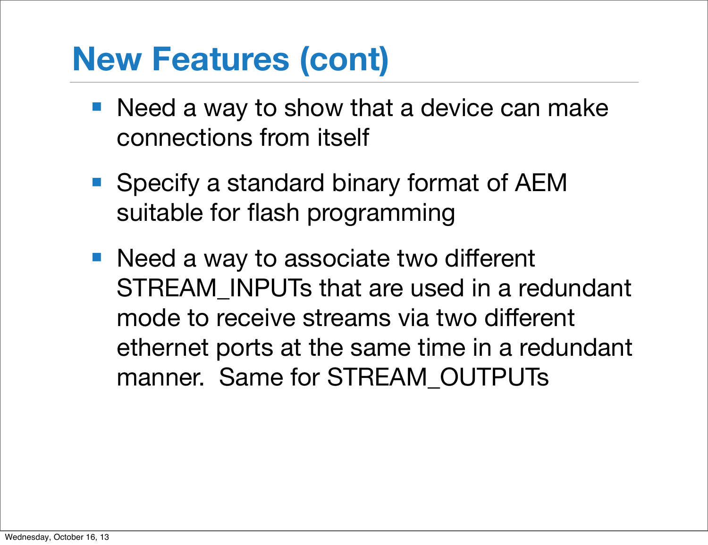# **New Features (cont)**

- Need a way to show that a device can make connections from itself
- Specify a standard binary format of AEM suitable for flash programming
- Need a way to associate two different STREAM\_INPUTs that are used in a redundant mode to receive streams via two different ethernet ports at the same time in a redundant manner. Same for STREAM\_OUTPUTs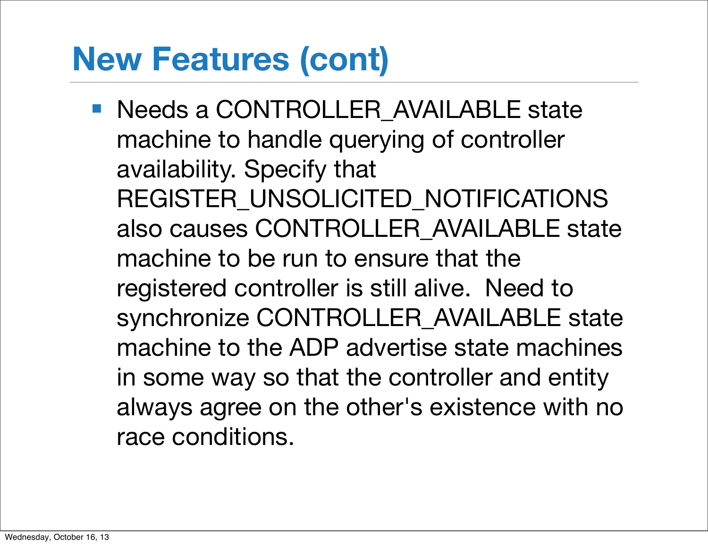# **New Features (cont)**

■ Needs a CONTROLLER AVAILABLE state machine to handle querying of controller availability. Specify that REGISTER UNSOLICITED NOTIFICATIONS also causes CONTROLLER\_AVAILABLE state machine to be run to ensure that the registered controller is still alive. Need to synchronize CONTROLLER\_AVAILABLE state machine to the ADP advertise state machines in some way so that the controller and entity always agree on the other's existence with no race conditions.